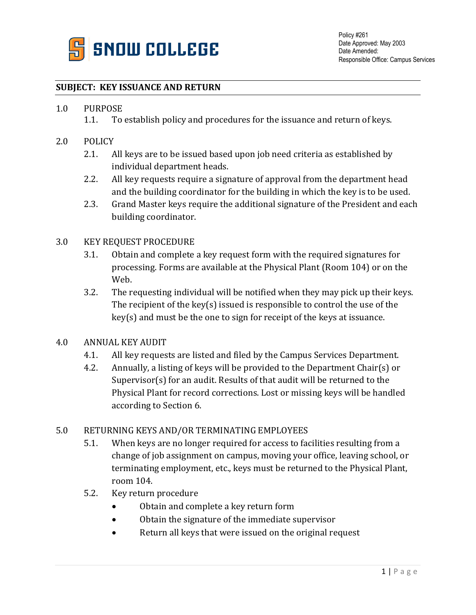

## **SUBJECT: KEY ISSUANCE AND RETURN**

# 1.0 PURPOSE<br>1.1. To

- To establish policy and procedures for the issuance and return of keys.
- 2.0 POLICY
	- 2.1. All keys are to be issued based upon job need criteria as established by individual department heads.
	- 2.2. All key requests require a signature of approval from the department head and the building coordinator for the building in which the key is to be used.
	- 2.3. Grand Master keys require the additional signature of the President and each building coordinator.

### 3.0 KEY REQUEST PROCEDURE

- 3.1. Obtain and complete a key request form with the required signatures for processing. Forms are available at the Physical Plant (Room 104) or on the Web.
- 3.2. The requesting individual will be notified when they may pick up their keys. The recipient of the key(s) issued is responsible to control the use of the key(s) and must be the one to sign for receipt of the keys at issuance.

#### 4.0 ANNUAL KEY AUDIT

- 4.1. All key requests are listed and filed by the Campus Services Department.
- 4.2. Annually, a listing of keys will be provided to the Department Chair(s) or Supervisor(s) for an audit. Results of that audit will be returned to the Physical Plant for record corrections. Lost or missing keys will be handled according to Section 6.

#### 5.0 RETURNING KEYS AND/OR TERMINATING EMPLOYEES

- 5.1. When keys are no longer required for access to facilities resulting from a change of job assignment on campus, moving your office, leaving school, or terminating employment, etc., keys must be returned to the Physical Plant, room 104.
- 5.2. Key return procedure
	- Obtain and complete a key return form
	- Obtain the signature of the immediate supervisor
	- Return all keys that were issued on the original request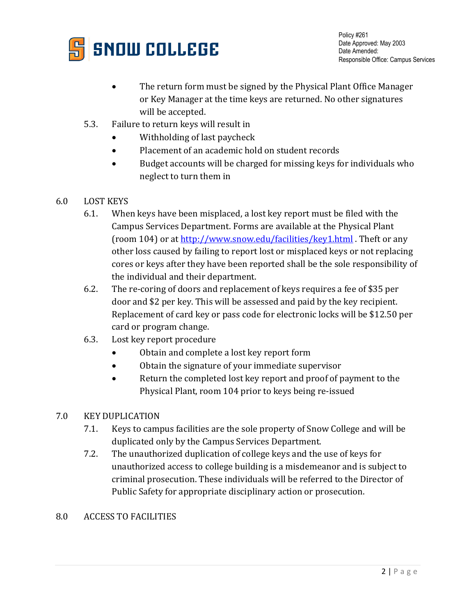

Policy #261 Date Approved: May 2003 Date Amended: Responsible Office: Campus Services

- The return form must be signed by the Physical Plant Office Manager or Key Manager at the time keys are returned. No other signatures will be accepted.
- 5.3. Failure to return keys will result in
	- Withholding of last paycheck
	- Placement of an academic hold on student records
	- Budget accounts will be charged for missing keys for individuals who neglect to turn them in
- 6.0 LOST KEYS
	- 6.1. When keys have been misplaced, a lost key report must be filed with the Campus Services Department. Forms are available at the Physical Plant (room 104) or at<http://www.snow.edu/facilities/key1.html> . Theft or any other loss caused by failing to report lost or misplaced keys or not replacing cores or keys after they have been reported shall be the sole responsibility of the individual and their department.
	- 6.2. The re-coring of doors and replacement of keys requires a fee of \$35 per door and \$2 per key. This will be assessed and paid by the key recipient. Replacement of card key or pass code for electronic locks will be \$12.50 per card or program change.
	- 6.3. Lost key report procedure
		- Obtain and complete a lost key report form
		- Obtain the signature of your immediate supervisor
		- Return the completed lost key report and proof of payment to the Physical Plant, room 104 prior to keys being re-issued

# 7.0 KEY DUPLICATION

- 7.1. Keys to campus facilities are the sole property of Snow College and will be duplicated only by the Campus Services Department.
- 7.2. The unauthorized duplication of college keys and the use of keys for unauthorized access to college building is a misdemeanor and is subject to criminal prosecution. These individuals will be referred to the Director of Public Safety for appropriate disciplinary action or prosecution.
- 8.0 ACCESS TO FACILITIES